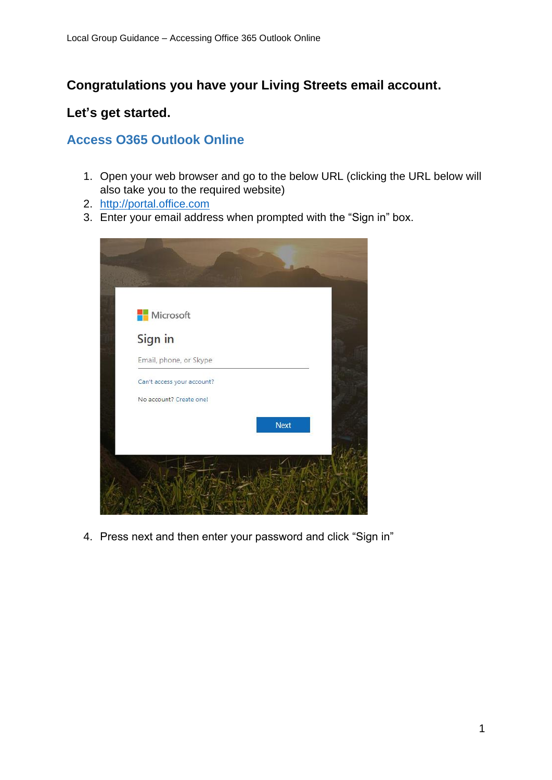# **Congratulations you have your Living Streets email account.**

## **Let's get started.**

# **Access O365 Outlook Online**

- 1. Open your web browser and go to the below URL (clicking the URL below will also take you to the required website)
- 2. [http://portal.office.com](http://portal.office.com/)
- 3. Enter your email address when prompted with the "Sign in" box.

| <b>Microsoft</b>           |      |
|----------------------------|------|
| Sign in                    |      |
| Email, phone, or Skype     |      |
| Can't access your account? |      |
| No account? Create one!    |      |
|                            | Next |
|                            |      |

4. Press next and then enter your password and click "Sign in"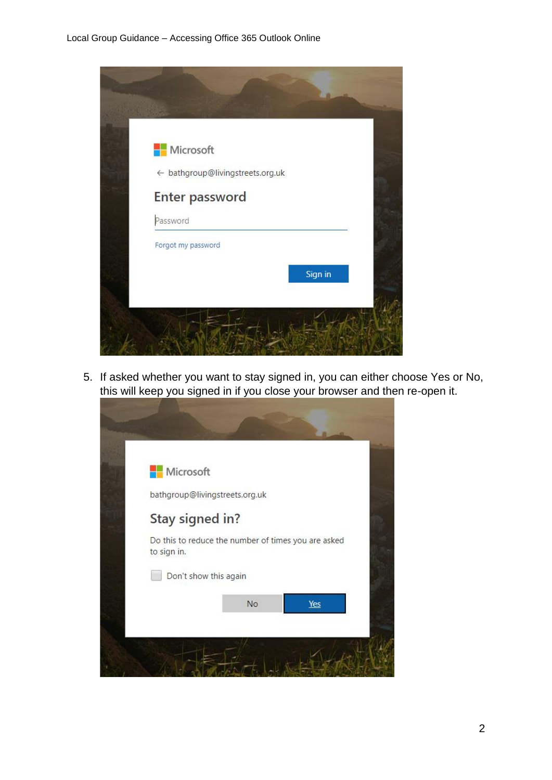

5. If asked whether you want to stay signed in, you can either choose Yes or No, this will keep you signed in if you close your browser and then re-open it.

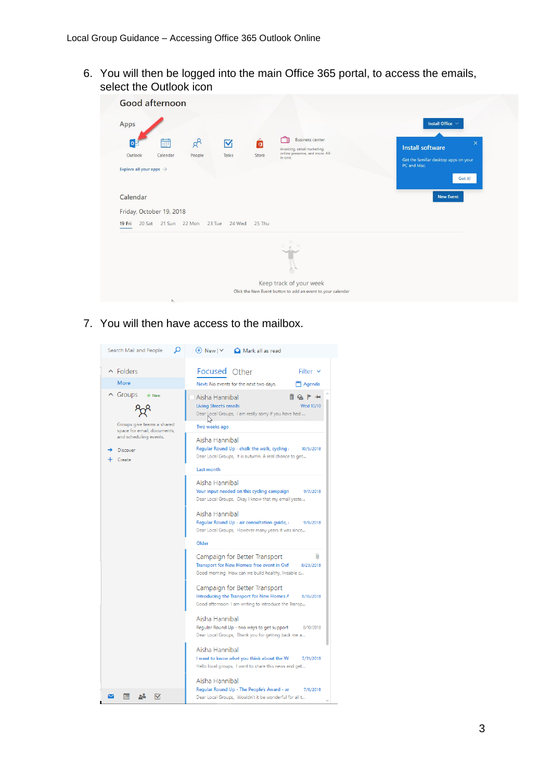6. You will then be logged into the main Office 365 portal, to access the emails, select the Outlook icon

| Good afternoon                                                                                                                                                                                                                                                        |                                                                                                                            |
|-----------------------------------------------------------------------------------------------------------------------------------------------------------------------------------------------------------------------------------------------------------------------|----------------------------------------------------------------------------------------------------------------------------|
| Apps<br><b>Business center</b><br>┳<br>ô<br>$R^8$<br>蔮<br>$\overline{\mathsf{v}}$<br>$\bullet$<br>Invoicing, email marketing,<br>online presence, and more. All-<br>Outlook<br>Tasks<br>Store<br>Calendar<br>People<br>in-one.<br>Explore all your apps $\rightarrow$ | Install Office V<br>$\times$<br><b>Install software</b><br>Get the familiar desktop apps on your<br>PC and Mac.<br>Got it! |
| Calendar<br>Friday, October 19, 2018                                                                                                                                                                                                                                  | <b>New Event</b>                                                                                                           |
| 20 Sat 21 Sun 22 Mon 23 Tue 24 Wed<br>25 Thu<br>19 Fri                                                                                                                                                                                                                |                                                                                                                            |
|                                                                                                                                                                                                                                                                       |                                                                                                                            |
| Keep track of your week<br>Click the New Event button to add an event to your calendar                                                                                                                                                                                |                                                                                                                            |
| $\sim$                                                                                                                                                                                                                                                                |                                                                                                                            |

7. You will then have access to the mailbox.

| Ω<br>Search Mail and People                                                                                                                  | $\Theta$ New $\vee$<br>Mark all as read                                                                                                                                                                                                                                                               |  |  |
|----------------------------------------------------------------------------------------------------------------------------------------------|-------------------------------------------------------------------------------------------------------------------------------------------------------------------------------------------------------------------------------------------------------------------------------------------------------|--|--|
| $\wedge$ Eolders<br><b>More</b>                                                                                                              | Focused Other<br>Filter v<br>Next: No events for the next two days.<br>Agenda                                                                                                                                                                                                                         |  |  |
| $\wedge$ Groups<br>* New<br>Groups give teams a shared<br>space for email, documents,<br>and scheduling events.<br><b>Discover</b><br>Create | Aisha Hannibal<br>∏ G ▶ +<br><b>Living Streets emails</b><br>Wed 10/10<br>Dear Local Groups, I am really sorry if you have had<br>Two weeks ago<br>Aisha Hannibal<br>Regular Round Up - chalk the walk, cycling a<br>10/5/2018<br>Dear Local Groups, It is autumn. A real chance to get<br>Last month |  |  |
|                                                                                                                                              | Aisha Hannibal<br>Your input needed on this cycling campaign<br>9/7/2018<br>Dear Local Groups, Okay I know that my email yeste<br>Aisha Hannibal<br>Regular Round Up - air consultation guide,<br>9/6/2018<br>Dear Local Groups, However many years it was since<br>Older                             |  |  |
|                                                                                                                                              | Campaign for Better Transport<br>O.<br>Transport for New Homes: free event in Oxf<br>8/23/2018<br>Good morning How can we build healthy, liveable c<br>Campaign for Better Transport<br>Introducing the Transport for New Homes A<br>8/16/2018<br>Good afternoon I am writing to introduce the Transp |  |  |
|                                                                                                                                              | Aisha Hannibal<br>Regular Round Up - two ways to get support<br>8/10/2018<br>Dear Local Groups, Thank you for getting back me a<br>Aisha Hannibal<br>I want to know what you think about the W.<br>7/31/2018<br>Hello local groups, I want to share this news and get<br>Aisha Hannibal               |  |  |
|                                                                                                                                              | Regular Round Up - The People's Award - ar<br>7/6/2018<br>Dear Local Groups, Wouldn't it be wonderful for all t                                                                                                                                                                                       |  |  |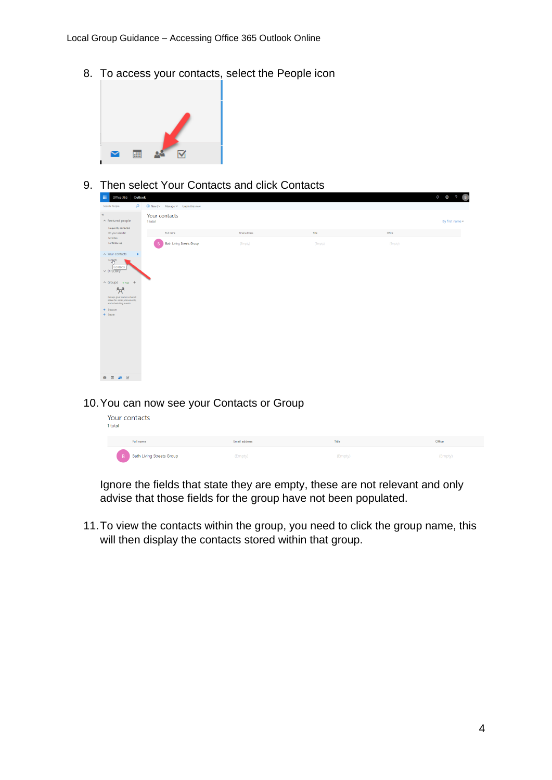8. To access your contacts, select the People icon



9. Then select Your Contacts and click Contacts

| 田<br>Outlook<br>Office 365                                                          |                                                             |               |         |         | $\overline{B}$<br>$Q$ $\circledcirc$<br>$\mathbf{P}$ |
|-------------------------------------------------------------------------------------|-------------------------------------------------------------|---------------|---------|---------|------------------------------------------------------|
| م<br>Search People                                                                  | $\textcircled{+}$ New $ \vee$ Manage $\vee$ Unpin this view |               |         |         |                                                      |
| $\propto$<br>▲ Featured people<br>Frequently contacted                              | Your contacts<br>1 total                                    |               |         |         | By first name -                                      |
| On your calendar<br>Favorites                                                       | Full name                                                   | Email address | Title   | Office  |                                                      |
| For follow-up                                                                       | <b>Bath Living Streets Group</b>                            | (Empty)       | (Empty) | (Empty) |                                                      |
| A Your contacts<br>$\mathbf{r}$<br>Congets                                          |                                                             |               |         |         |                                                      |
| Contacts<br>$\vee$ Directory                                                        |                                                             |               |         |         |                                                      |
| $\land$ Groups $*_{New}$ +                                                          |                                                             |               |         |         |                                                      |
| $R^8$                                                                               |                                                             |               |         |         |                                                      |
| Groups give teams a shared<br>space for email, documents,<br>and scheduling events. |                                                             |               |         |         |                                                      |
| > Discover<br>$+$ Create                                                            |                                                             |               |         |         |                                                      |
|                                                                                     |                                                             |               |         |         |                                                      |
|                                                                                     |                                                             |               |         |         |                                                      |
|                                                                                     |                                                             |               |         |         |                                                      |
|                                                                                     |                                                             |               |         |         |                                                      |
|                                                                                     |                                                             |               |         |         |                                                      |
|                                                                                     |                                                             |               |         |         |                                                      |
| $\Delta h = \boxtimes$<br>$\overline{a}$                                            |                                                             |               |         |         |                                                      |

#### 10.You can now see your Contacts or Group

| our contacts<br>total                              |               |         |         |
|----------------------------------------------------|---------------|---------|---------|
| Full name                                          | Email address | Title   | Office  |
| <b>Bath Living Streets Group</b><br>$\overline{B}$ | (Empty)       | (Empty) | (Empty) |

Ignore the fields that state they are empty, these are not relevant and only advise that those fields for the group have not been populated.

11.To view the contacts within the group, you need to click the group name, this will then display the contacts stored within that group.